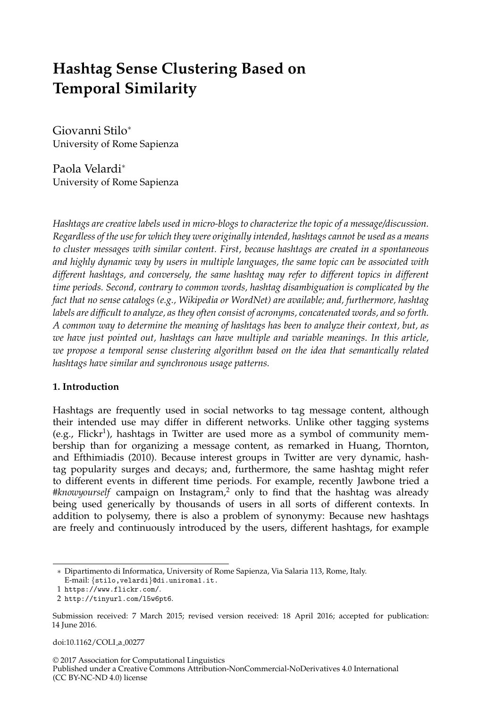# **Hashtag Sense Clustering Based on Temporal Similarity**

Giovanni Stilo<sup>∗</sup> University of Rome Sapienza

Paola Velardi<sup>∗</sup> University of Rome Sapienza

*Hashtags are creative labels used in micro-blogs to characterize the topic of a message/discussion. Regardless of the use for which they were originally intended, hashtags cannot be used as a means to cluster messages with similar content. First, because hashtags are created in a spontaneous and highly dynamic way by users in multiple languages, the same topic can be associated with different hashtags, and conversely, the same hashtag may refer to different topics in different time periods. Second, contrary to common words, hashtag disambiguation is complicated by the fact that no sense catalogs (e.g., Wikipedia or WordNet) are available; and, furthermore, hashtag labels are difficult to analyze, as they often consist of acronyms, concatenated words, and so forth. A common way to determine the meaning of hashtags has been to analyze their context, but, as we have just pointed out, hashtags can have multiple and variable meanings. In this article, we propose a temporal sense clustering algorithm based on the idea that semantically related hashtags have similar and synchronous usage patterns.*

### **1. Introduction**

Hashtags are frequently used in social networks to tag message content, although their intended use may differ in different networks. Unlike other tagging systems (e.g., Flickr<sup>1</sup>), hashtags in Twitter are used more as a symbol of community membership than for organizing a message content, as remarked in Huang, Thornton, and Efthimiadis (2010). Because interest groups in Twitter are very dynamic, hashtag popularity surges and decays; and, furthermore, the same hashtag might refer to different events in different time periods. For example, recently Jawbone tried a #*knowyourself* campaign on Instagram,<sup>2</sup> only to find that the hashtag was already being used generically by thousands of users in all sorts of different contexts. In addition to polysemy, there is also a problem of synonymy: Because new hashtags are freely and continuously introduced by the users, different hashtags, for example

Submission received: 7 March 2015; revised version received: 18 April 2016; accepted for publication: 14 June 2016.

doi:10.1162/COLI a 00277

© 2017 Association for Computational Linguistics

Published under a Creative Commons Attribution-NonCommercial-NoDerivatives 4.0 International (CC BY-NC-ND 4.0) license

<sup>∗</sup> Dipartimento di Informatica, University of Rome Sapienza, Via Salaria 113, Rome, Italy. E-mail: {stilo,velardi}@di.uniroma1.it.

<sup>1</sup> https://www.flickr.com/.

<sup>2</sup> http://tinyurl.com/l5w6pt6.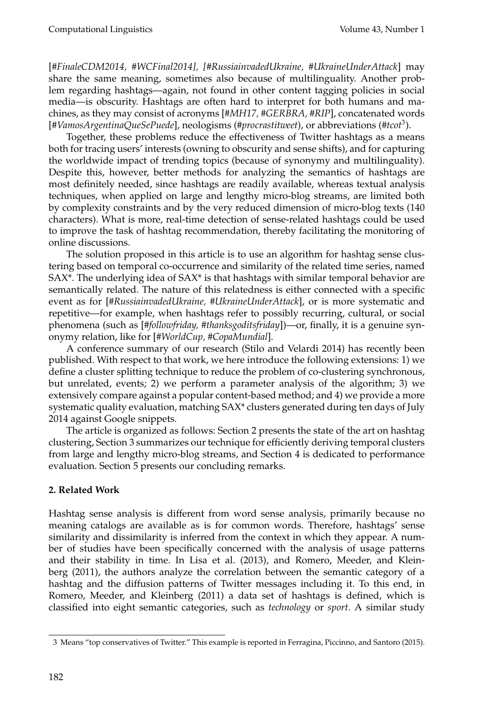[*#FinaleCDM2014, #WCFinal2014], [#RussiainvadedUkraine, #UkraineUnderAttack*] may share the same meaning, sometimes also because of multilinguality. Another problem regarding hashtags—again, not found in other content tagging policies in social media—is obscurity. Hashtags are often hard to interpret for both humans and machines, as they may consist of acronyms [*#MH17, #GERBRA, #RIP*], concatenated words [*#VamosArgentinaQueSePuede*], neologisms (#*procrastitweet*), or abbreviations (#*tcot*<sup>3</sup> ).

Together, these problems reduce the effectiveness of Twitter hashtags as a means both for tracing users' interests (owning to obscurity and sense shifts), and for capturing the worldwide impact of trending topics (because of synonymy and multilinguality). Despite this, however, better methods for analyzing the semantics of hashtags are most definitely needed, since hashtags are readily available, whereas textual analysis techniques, when applied on large and lengthy micro-blog streams, are limited both by complexity constraints and by the very reduced dimension of micro-blog texts (140 characters). What is more, real-time detection of sense-related hashtags could be used to improve the task of hashtag recommendation, thereby facilitating the monitoring of online discussions.

The solution proposed in this article is to use an algorithm for hashtag sense clustering based on temporal co-occurrence and similarity of the related time series, named SAX\*. The underlying idea of SAX\* is that hashtags with similar temporal behavior are semantically related. The nature of this relatedness is either connected with a specific event as for [*#RussiainvadedUkraine, #UkraineUnderAttack*], or is more systematic and repetitive—for example, when hashtags refer to possibly recurring, cultural, or social phenomena (such as [*#followfriday, #thanksgoditsfriday*])—or, finally, it is a genuine synonymy relation, like for [*#WorldCup, #CopaMundial*].

A conference summary of our research (Stilo and Velardi 2014) has recently been published. With respect to that work, we here introduce the following extensions: 1) we define a cluster splitting technique to reduce the problem of co-clustering synchronous, but unrelated, events; 2) we perform a parameter analysis of the algorithm; 3) we extensively compare against a popular content-based method; and 4) we provide a more systematic quality evaluation, matching SAX\* clusters generated during ten days of July 2014 against Google snippets.

The article is organized as follows: Section 2 presents the state of the art on hashtag clustering, Section 3 summarizes our technique for efficiently deriving temporal clusters from large and lengthy micro-blog streams, and Section 4 is dedicated to performance evaluation. Section 5 presents our concluding remarks.

# **2. Related Work**

Hashtag sense analysis is different from word sense analysis, primarily because no meaning catalogs are available as is for common words. Therefore, hashtags' sense similarity and dissimilarity is inferred from the context in which they appear. A number of studies have been specifically concerned with the analysis of usage patterns and their stability in time. In Lisa et al. (2013), and Romero, Meeder, and Kleinberg (2011), the authors analyze the correlation between the semantic category of a hashtag and the diffusion patterns of Twitter messages including it. To this end, in Romero, Meeder, and Kleinberg (2011) a data set of hashtags is defined, which is classified into eight semantic categories, such as *technology* or *sport*. A similar study

<sup>3</sup> Means "top conservatives of Twitter." This example is reported in Ferragina, Piccinno, and Santoro (2015).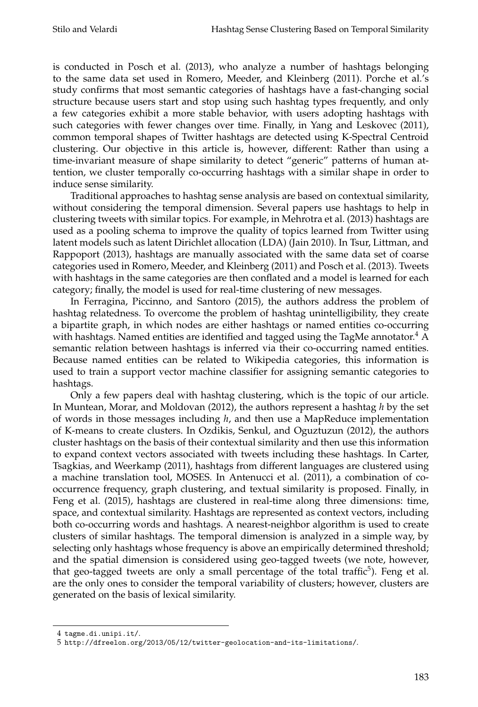is conducted in Posch et al. (2013), who analyze a number of hashtags belonging to the same data set used in Romero, Meeder, and Kleinberg (2011). Porche et al.'s study confirms that most semantic categories of hashtags have a fast-changing social structure because users start and stop using such hashtag types frequently, and only a few categories exhibit a more stable behavior, with users adopting hashtags with such categories with fewer changes over time. Finally, in Yang and Leskovec (2011), common temporal shapes of Twitter hashtags are detected using K-Spectral Centroid clustering. Our objective in this article is, however, different: Rather than using a time-invariant measure of shape similarity to detect "generic" patterns of human attention, we cluster temporally co-occurring hashtags with a similar shape in order to induce sense similarity.

Traditional approaches to hashtag sense analysis are based on contextual similarity, without considering the temporal dimension. Several papers use hashtags to help in clustering tweets with similar topics. For example, in Mehrotra et al. (2013) hashtags are used as a pooling schema to improve the quality of topics learned from Twitter using latent models such as latent Dirichlet allocation (LDA) (Jain 2010). In Tsur, Littman, and Rappoport (2013), hashtags are manually associated with the same data set of coarse categories used in Romero, Meeder, and Kleinberg (2011) and Posch et al. (2013). Tweets with hashtags in the same categories are then conflated and a model is learned for each category; finally, the model is used for real-time clustering of new messages.

In Ferragina, Piccinno, and Santoro (2015), the authors address the problem of hashtag relatedness. To overcome the problem of hashtag unintelligibility, they create a bipartite graph, in which nodes are either hashtags or named entities co-occurring with hashtags. Named entities are identified and tagged using the TagMe annotator. $4 \text{ A}$ semantic relation between hashtags is inferred via their co-occurring named entities. Because named entities can be related to Wikipedia categories, this information is used to train a support vector machine classifier for assigning semantic categories to hashtags.

Only a few papers deal with hashtag clustering, which is the topic of our article. In Muntean, Morar, and Moldovan (2012), the authors represent a hashtag *h* by the set of words in those messages including *h*, and then use a MapReduce implementation of K-means to create clusters. In Ozdikis, Senkul, and Oguztuzun (2012), the authors cluster hashtags on the basis of their contextual similarity and then use this information to expand context vectors associated with tweets including these hashtags. In Carter, Tsagkias, and Weerkamp (2011), hashtags from different languages are clustered using a machine translation tool, MOSES. In Antenucci et al. (2011), a combination of cooccurrence frequency, graph clustering, and textual similarity is proposed. Finally, in Feng et al. (2015), hashtags are clustered in real-time along three dimensions: time, space, and contextual similarity. Hashtags are represented as context vectors, including both co-occurring words and hashtags. A nearest-neighbor algorithm is used to create clusters of similar hashtags. The temporal dimension is analyzed in a simple way, by selecting only hashtags whose frequency is above an empirically determined threshold; and the spatial dimension is considered using geo-tagged tweets (we note, however, that geo-tagged tweets are only a small percentage of the total traffic $5$ ). Feng et al. are the only ones to consider the temporal variability of clusters; however, clusters are generated on the basis of lexical similarity.

<sup>4</sup> tagme.di.unipi.it/.

<sup>5</sup> http://dfreelon.org/2013/05/12/twitter-geolocation-and-its-limitations/.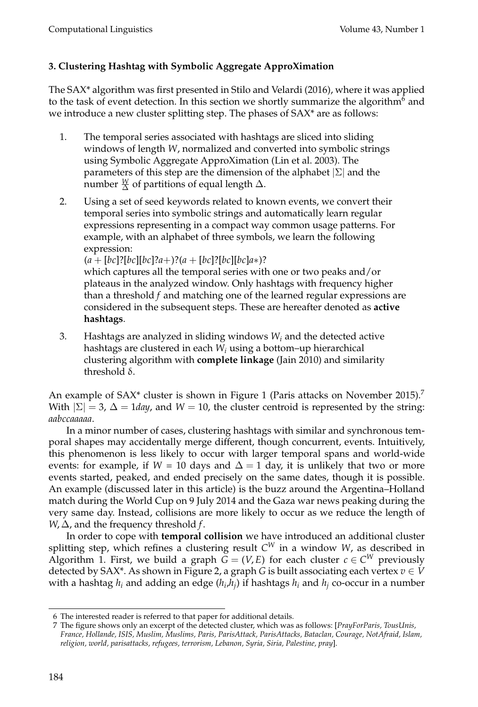# **3. Clustering Hashtag with Symbolic Aggregate ApproXimation**

The SAX\* algorithm was first presented in Stilo and Velardi (2016), where it was applied to the task of event detection. In this section we shortly summarize the algorithm $^6$  and we introduce a new cluster splitting step. The phases of SAX\* are as follows:

- 1. The temporal series associated with hashtags are sliced into sliding windows of length *W*, normalized and converted into symbolic strings using Symbolic Aggregate ApproXimation (Lin et al. 2003). The parameters of this step are the dimension of the alphabet  $|\Sigma|$  and the number  $\frac{W}{\Delta}$  of partitions of equal length  $\Delta.$
- 2. Using a set of seed keywords related to known events, we convert their temporal series into symbolic strings and automatically learn regular expressions representing in a compact way common usage patterns. For example, with an alphabet of three symbols, we learn the following expression:

(*a* + [*bc*]?[*bc*][*bc*]?*a*+)?(*a* + [*bc*]?[*bc*][*bc*]*a*∗)?

which captures all the temporal series with one or two peaks and/or plateaus in the analyzed window. Only hashtags with frequency higher than a threshold *f* and matching one of the learned regular expressions are considered in the subsequent steps. These are hereafter denoted as **active hashtags**.

3. Hashtags are analyzed in sliding windows *W<sup>i</sup>* and the detected active hashtags are clustered in each *W<sup>i</sup>* using a bottom–up hierarchical clustering algorithm with **complete linkage** (Jain 2010) and similarity threshold  $δ$ .

An example of SAX<sup>\*</sup> cluster is shown in Figure 1 (Paris attacks on November 2015).<sup>7</sup> With  $|\Sigma| = 3$ ,  $\Delta = 1$ *day*, and  $W = 10$ , the cluster centroid is represented by the string: *aabccaaaaa*.

In a minor number of cases, clustering hashtags with similar and synchronous temporal shapes may accidentally merge different, though concurrent, events. Intuitively, this phenomenon is less likely to occur with larger temporal spans and world-wide events: for example, if *W* = 10 days and  $\Delta = 1$  day, it is unlikely that two or more events started, peaked, and ended precisely on the same dates, though it is possible. An example (discussed later in this article) is the buzz around the Argentina–Holland match during the World Cup on 9 July 2014 and the Gaza war news peaking during the very same day. Instead, collisions are more likely to occur as we reduce the length of *W*,  $\Delta$ , and the frequency threshold *f*.

In order to cope with **temporal collision** we have introduced an additional cluster splitting step, which refines a clustering result  $C^W$  in a window  $W$ , as described in Algorithm 1. First, we build a graph  $G = (V, E)$  for each cluster  $c \in C^W$  previously detected by SAX<sup>\*</sup>. As shown in Figure 2, a graph *G* is built associating each vertex  $v \in V$ with a hashtag  $h_i$  and adding an edge  $(h_i,h_j)$  if hashtags  $h_i$  and  $h_j$  co-occur in a number

<sup>6</sup> The interested reader is referred to that paper for additional details.

<sup>7</sup> The figure shows only an excerpt of the detected cluster, which was as follows: [*PrayForParis, TousUnis, France, Hollande, ISIS, Muslim, Muslims, Paris, ParisAttack, ParisAttacks, Bataclan, Courage, NotAfraid, Islam, religion, world, parisattacks, refugees, terrorism, Lebanon, Syria, Siria, Palestine, pray*].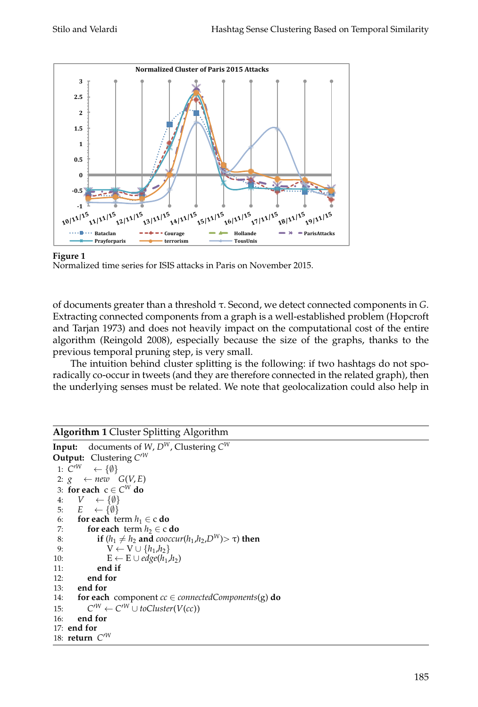

### **Figure 1**



of documents greater than a threshold τ. Second, we detect connected components in *G*. Extracting connected components from a graph is a well-established problem (Hopcroft and Tarjan 1973) and does not heavily impact on the computational cost of the entire algorithm (Reingold 2008), especially because the size of the graphs, thanks to the previous temporal pruning step, is very small.

The intuition behind cluster splitting is the following: if two hashtags do not sporadically co-occur in tweets (and they are therefore connected in the related graph), then the underlying senses must be related. We note that geolocalization could also help in

# **Algorithm 1** Cluster Splitting Algorithm

```
Input: documents of W, D^W, Clustering C^WOutput: Clustering C^{\prime W}1: C^{W}\leftarrow {\emptyset}
 2: g \leftarrow new \leftarrow G(V, E)3: for each c ∈ C
W do
 4: V \leftarrow \{\emptyset\}5: E \leftarrow \{\emptyset\}6: for each term h_1 \in \text{c} do<br>7: for each term h_2 \in \text{c}for each term h_2 \in \text{c} do
 8: if (h_1 \neq h_2 \text{ and } \text{cooccur}(h_1, h_2, D^W) > \tau) then
 9: V \leftarrow V \cup \{h_1, h_2\}10: E \leftarrow E \cup edge(h_1, h_2)11: end if
12: end for
13: end for
14: for each component cc ∈ connectedComponents(g) do
15: C
             C^W ← C'^W ∪ toCluster(V(cc))
16: end for
17: end for
18: return C^{\prime W}
```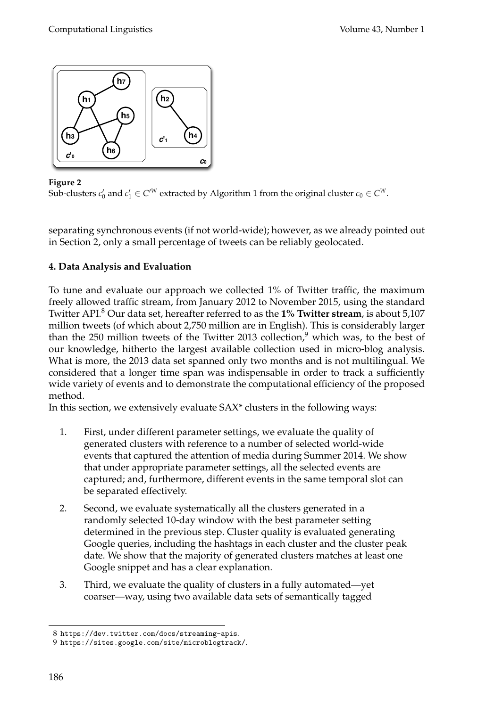

**Figure 2**

Sub-clusters  $c'_0$  and  $c'_1 \in C'^W$  extracted by Algorithm 1 from the original cluster  $c_0 \in C^W$ .

separating synchronous events (if not world-wide); however, as we already pointed out in Section 2, only a small percentage of tweets can be reliably geolocated.

# **4. Data Analysis and Evaluation**

To tune and evaluate our approach we collected 1% of Twitter traffic, the maximum freely allowed traffic stream, from January 2012 to November 2015, using the standard Twitter API.<sup>8</sup> Our data set, hereafter referred to as the **1% Twitter stream**, is about 5,107 million tweets (of which about 2,750 million are in English). This is considerably larger than the 250 million tweets of the Twitter 2013 collection, $9$  which was, to the best of our knowledge, hitherto the largest available collection used in micro-blog analysis. What is more, the 2013 data set spanned only two months and is not multilingual. We considered that a longer time span was indispensable in order to track a sufficiently wide variety of events and to demonstrate the computational efficiency of the proposed method.

In this section, we extensively evaluate SAX\* clusters in the following ways:

- 1. First, under different parameter settings, we evaluate the quality of generated clusters with reference to a number of selected world-wide events that captured the attention of media during Summer 2014. We show that under appropriate parameter settings, all the selected events are captured; and, furthermore, different events in the same temporal slot can be separated effectively.
- 2. Second, we evaluate systematically all the clusters generated in a randomly selected 10-day window with the best parameter setting determined in the previous step. Cluster quality is evaluated generating Google queries, including the hashtags in each cluster and the cluster peak date. We show that the majority of generated clusters matches at least one Google snippet and has a clear explanation.
- 3. Third, we evaluate the quality of clusters in a fully automated—yet coarser—way, using two available data sets of semantically tagged

<sup>8</sup> https://dev.twitter.com/docs/streaming-apis.

<sup>9</sup> https://sites.google.com/site/microblogtrack/.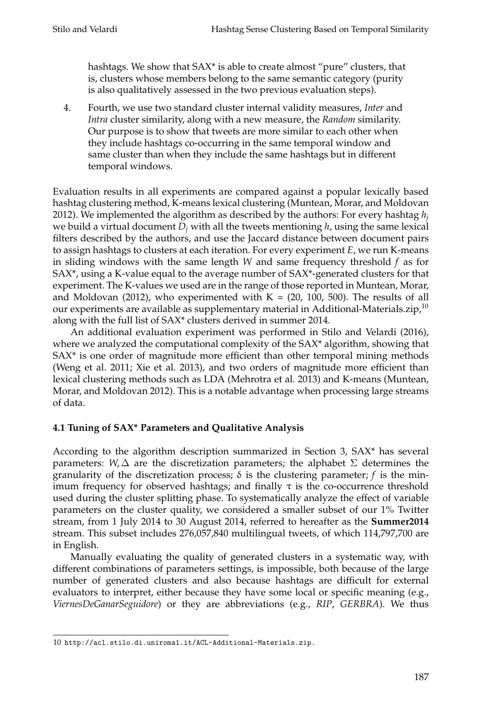hashtags. We show that SAX<sup>\*</sup> is able to create almost "pure" clusters, that is, clusters whose members belong to the same semantic category (purity is also qualitatively assessed in the two previous evaluation steps).

4. Fourth, we use two standard cluster internal validity measures, *Inter* and *Intra* cluster similarity, along with a new measure, the *Random* similarity. Our purpose is to show that tweets are more similar to each other when they include hashtags co-occurring in the same temporal window and same cluster than when they include the same hashtags but in different temporal windows.

Evaluation results in all experiments are compared against a popular lexically based hashtag clustering method, K-means lexical clustering (Muntean, Morar, and Moldovan 2012). We implemented the algorithm as described by the authors: For every hashtag *h<sup>j</sup>* we build a virtual document *D<sup>j</sup>* with all the tweets mentioning *h*, using the same lexical filters described by the authors, and use the Jaccard distance between document pairs to assign hashtags to clusters at each iteration. For every experiment *E*, we run K-means in sliding windows with the same length *W* and same frequency threshold *f* as for SAX\*, using a K-value equal to the average number of SAX\*-generated clusters for that experiment. The K-values we used are in the range of those reported in Muntean, Morar, and Moldovan (2012), who experimented with  $K = (20, 100, 500)$ . The results of all our experiments are available as supplementary material in Additional-Materials.zip, $^{10}$ along with the full list of SAX\* clusters derived in summer 2014.

An additional evaluation experiment was performed in Stilo and Velardi (2016), where we analyzed the computational complexity of the SAX<sup>\*</sup> algorithm, showing that SAX\* is one order of magnitude more efficient than other temporal mining methods (Weng et al. 2011; Xie et al. 2013), and two orders of magnitude more efficient than lexical clustering methods such as LDA (Mehrotra et al. 2013) and K-means (Muntean, Morar, and Moldovan 2012). This is a notable advantage when processing large streams of data.

# **4.1 Tuning of SAX\* Parameters and Qualitative Analysis**

According to the algorithm description summarized in Section 3, SAX\* has several parameters: *W*,  $\Delta$  are the discretization parameters; the alphabet  $\Sigma$  determines the granularity of the discretization process; δ is the clustering parameter; *f* is the minimum frequency for observed hashtags; and finally  $\tau$  is the co-occurrence threshold used during the cluster splitting phase. To systematically analyze the effect of variable parameters on the cluster quality, we considered a smaller subset of our 1% Twitter stream, from 1 July 2014 to 30 August 2014, referred to hereafter as the **Summer2014** stream. This subset includes 276,057,840 multilingual tweets, of which 114,797,700 are in English.

Manually evaluating the quality of generated clusters in a systematic way, with different combinations of parameters settings, is impossible, both because of the large number of generated clusters and also because hashtags are difficult for external evaluators to interpret, either because they have some local or specific meaning (e.g., *ViernesDeGanarSeguidore*) or they are abbreviations (e.g., *RIP*, *GERBRA*). We thus

<sup>10</sup> http://acl.stilo.di.uniroma1.it/ACL-Additional-Materials.zip.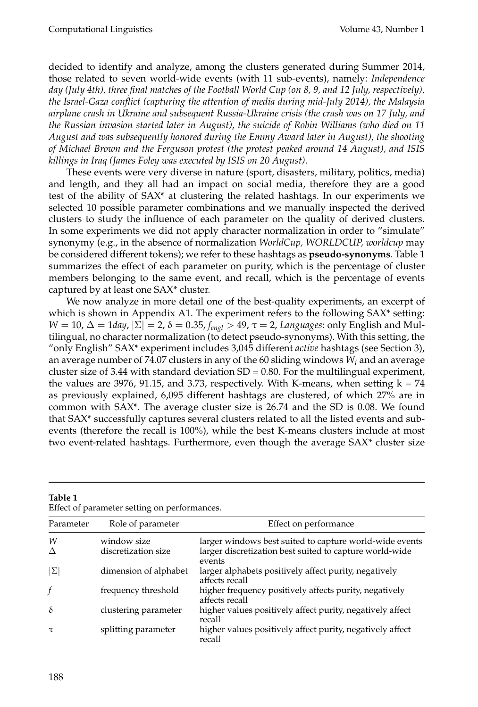decided to identify and analyze, among the clusters generated during Summer 2014, those related to seven world-wide events (with 11 sub-events), namely: *Independence day (July 4th), three final matches of the Football World Cup (on 8, 9, and 12 July, respectively), the Israel-Gaza conflict (capturing the attention of media during mid-July 2014), the Malaysia airplane crash in Ukraine and subsequent Russia-Ukraine crisis (the crash was on 17 July, and the Russian invasion started later in August), the suicide of Robin Williams (who died on 11 August and was subsequently honored during the Emmy Award later in August), the shooting of Michael Brown and the Ferguson protest (the protest peaked around 14 August), and ISIS killings in Iraq (James Foley was executed by ISIS on 20 August)*.

These events were very diverse in nature (sport, disasters, military, politics, media) and length, and they all had an impact on social media, therefore they are a good test of the ability of SAX\* at clustering the related hashtags. In our experiments we selected 10 possible parameter combinations and we manually inspected the derived clusters to study the influence of each parameter on the quality of derived clusters. In some experiments we did not apply character normalization in order to "simulate" synonymy (e.g., in the absence of normalization *WorldCup, WORLDCUP, worldcup* may be considered different tokens); we refer to these hashtags as **pseudo-synonyms**. Table 1 summarizes the effect of each parameter on purity, which is the percentage of cluster members belonging to the same event, and recall, which is the percentage of events captured by at least one SAX\* cluster.

We now analyze in more detail one of the best-quality experiments, an excerpt of which is shown in Appendix A1. The experiment refers to the following SAX<sup>\*</sup> setting: *W* = 10, Δ = 1*day*,  $|\Sigma|$  = 2, δ = 0.35, *f*<sub>*engl*</sub> > 49,  $\tau$  = 2, *Languages*: only English and Multilingual, no character normalization (to detect pseudo-synonyms). With this setting, the "only English" SAX\* experiment includes 3,045 different *active* hashtags (see Section 3), an average number of 74.07 clusters in any of the 60 sliding windows *W<sup>i</sup>* and an average cluster size of 3.44 with standard deviation  $SD = 0.80$ . For the multilingual experiment, the values are 3976, 91.15, and 3.73, respectively. With K-means, when setting  $k = 74$ as previously explained, 6,095 different hashtags are clustered, of which 27% are in common with SAX\*. The average cluster size is 26.74 and the SD is 0.08. We found that SAX\* successfully captures several clusters related to all the listed events and subevents (therefore the recall is 100%), while the best K-means clusters include at most two event-related hashtags. Furthermore, even though the average SAX\* cluster size

| Parameter | Role of parameter     | Effect on performance                                                    |
|-----------|-----------------------|--------------------------------------------------------------------------|
| W         | window size           | larger windows best suited to capture world-wide events                  |
| Δ         | discretization size   | larger discretization best suited to capture world-wide<br>events        |
| IΣ        | dimension of alphabet | larger alphabets positively affect purity, negatively<br>affects recall  |
|           | frequency threshold   | higher frequency positively affects purity, negatively<br>affects recall |
| δ         | clustering parameter  | higher values positively affect purity, negatively affect<br>recall      |
| $\tau$    | splitting parameter   | higher values positively affect purity, negatively affect<br>recall      |

**Table 1** Effect of parameter setting on performances.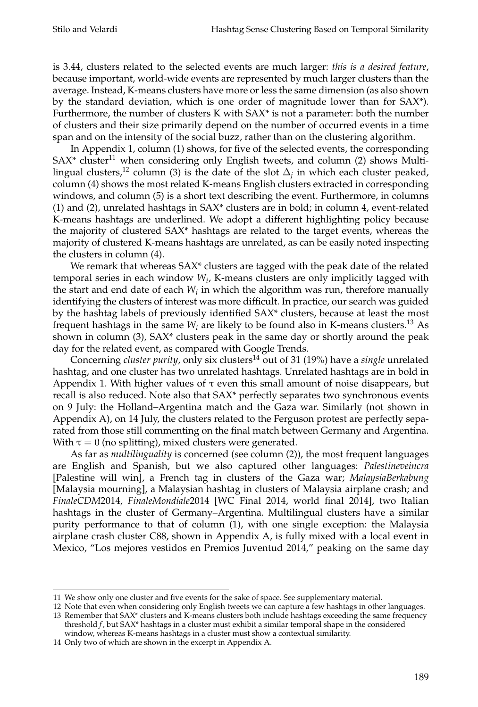is 3.44, clusters related to the selected events are much larger: *this is a desired feature*, because important, world-wide events are represented by much larger clusters than the average. Instead, K-means clusters have more or less the same dimension (as also shown by the standard deviation, which is one order of magnitude lower than for SAX\*). Furthermore, the number of clusters K with SAX\* is not a parameter: both the number of clusters and their size primarily depend on the number of occurred events in a time span and on the intensity of the social buzz, rather than on the clustering algorithm.

In Appendix 1, column (1) shows, for five of the selected events, the corresponding  $SAX^*$  cluster<sup>11</sup> when considering only English tweets, and column (2) shows Multilingual clusters,<sup>12</sup> column (3) is the date of the slot  $\Delta_j$  in which each cluster peaked, column (4) shows the most related K-means English clusters extracted in corresponding windows, and column (5) is a short text describing the event. Furthermore, in columns (1) and (2), unrelated hashtags in  $SAX^*$  clusters are in bold; in column 4, event-related K-means hashtags are underlined. We adopt a different highlighting policy because the majority of clustered SAX\* hashtags are related to the target events, whereas the majority of clustered K-means hashtags are unrelated, as can be easily noted inspecting the clusters in column (4).

We remark that whereas SAX<sup>\*</sup> clusters are tagged with the peak date of the related temporal series in each window *W<sup>i</sup>* , K-means clusters are only implicitly tagged with the start and end date of each *W<sup>i</sup>* in which the algorithm was run, therefore manually identifying the clusters of interest was more difficult. In practice, our search was guided by the hashtag labels of previously identified SAX\* clusters, because at least the most frequent hashtags in the same *W<sup>i</sup>* are likely to be found also in K-means clusters.<sup>13</sup> As shown in column (3), SAX\* clusters peak in the same day or shortly around the peak day for the related event, as compared with Google Trends.

Concerning *cluster purity*, only six clusters<sup>14</sup> out of 31 (19%) have a *single* unrelated hashtag, and one cluster has two unrelated hashtags. Unrelated hashtags are in bold in Appendix 1. With higher values of  $\tau$  even this small amount of noise disappears, but recall is also reduced. Note also that SAX\* perfectly separates two synchronous events on 9 July: the Holland–Argentina match and the Gaza war. Similarly (not shown in Appendix A), on 14 July, the clusters related to the Ferguson protest are perfectly separated from those still commenting on the final match between Germany and Argentina. With  $\tau = 0$  (no splitting), mixed clusters were generated.

As far as *multilinguality* is concerned (see column (2)), the most frequent languages are English and Spanish, but we also captured other languages: *Palestineveincra* [Palestine will win], a French tag in clusters of the Gaza war; *MalaysiaBerkabung* [Malaysia mourning], a Malaysian hashtag in clusters of Malaysia airplane crash; and *FinaleCDM*2014, *FinaleMondiale*2014 [WC Final 2014, world final 2014], two Italian hashtags in the cluster of Germany–Argentina. Multilingual clusters have a similar purity performance to that of column (1), with one single exception: the Malaysia airplane crash cluster C88, shown in Appendix A, is fully mixed with a local event in Mexico, "Los mejores vestidos en Premios Juventud 2014," peaking on the same day

12 Note that even when considering only English tweets we can capture a few hashtags in other languages.

<sup>11</sup> We show only one cluster and five events for the sake of space. See supplementary material.

<sup>13</sup> Remember that SAX\* clusters and K-means clusters both include hashtags exceeding the same frequency threshold *f*, but SAX\* hashtags in a cluster must exhibit a similar temporal shape in the considered window, whereas K-means hashtags in a cluster must show a contextual similarity.

<sup>14</sup> Only two of which are shown in the excerpt in Appendix A.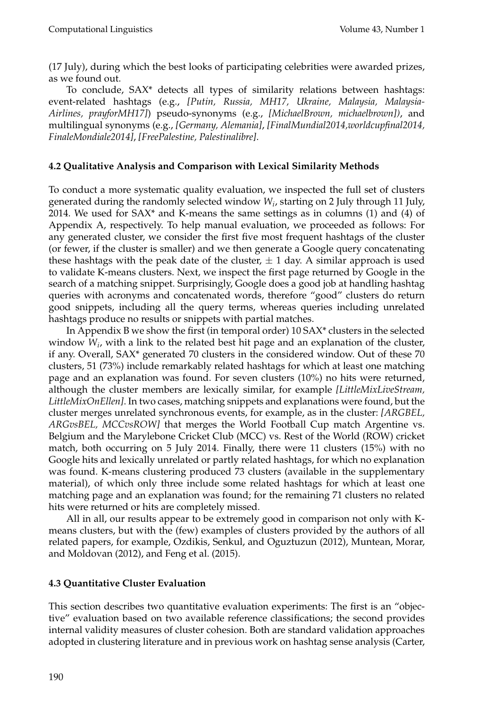(17 July), during which the best looks of participating celebrities were awarded prizes, as we found out.

To conclude, SAX\* detects all types of similarity relations between hashtags: event-related hashtags (e.g., *[Putin, Russia, MH17, Ukraine, Malaysia, Malaysia-Airlines, prayforMH17]*) pseudo-synonyms (e.g., *[MichaelBrown, michaelbrown])*, and multilingual synonyms (e.g., *[Germany, Alemania]*, *[FinalMundial2014,worldcupfinal2014, FinaleMondiale2014]*, *[FreePalestine, Palestinalibre]*.

### **4.2 Qualitative Analysis and Comparison with Lexical Similarity Methods**

To conduct a more systematic quality evaluation, we inspected the full set of clusters generated during the randomly selected window *W<sup>i</sup>* , starting on 2 July through 11 July, 2014. We used for  $SAX^*$  and K-means the same settings as in columns (1) and (4) of Appendix A, respectively. To help manual evaluation, we proceeded as follows: For any generated cluster, we consider the first five most frequent hashtags of the cluster (or fewer, if the cluster is smaller) and we then generate a Google query concatenating these hashtags with the peak date of the cluster,  $\pm 1$  day. A similar approach is used to validate K-means clusters. Next, we inspect the first page returned by Google in the search of a matching snippet. Surprisingly, Google does a good job at handling hashtag queries with acronyms and concatenated words, therefore "good" clusters do return good snippets, including all the query terms, whereas queries including unrelated hashtags produce no results or snippets with partial matches.

In Appendix B we show the first (in temporal order) 10 SAX\* clusters in the selected window *W<sup>i</sup>* , with a link to the related best hit page and an explanation of the cluster, if any. Overall, SAX\* generated 70 clusters in the considered window. Out of these 70 clusters, 51 (73%) include remarkably related hashtags for which at least one matching page and an explanation was found. For seven clusters (10%) no hits were returned, although the cluster members are lexically similar, for example *[LittleMixLiveStream, LittleMixOnEllen]*. In two cases, matching snippets and explanations were found, but the cluster merges unrelated synchronous events, for example, as in the cluster: *[ARGBEL, ARGvsBEL, MCCvsROW]* that merges the World Football Cup match Argentine vs. Belgium and the Marylebone Cricket Club (MCC) vs. Rest of the World (ROW) cricket match, both occurring on 5 July 2014. Finally, there were 11 clusters (15%) with no Google hits and lexically unrelated or partly related hashtags, for which no explanation was found. K-means clustering produced 73 clusters (available in the supplementary material), of which only three include some related hashtags for which at least one matching page and an explanation was found; for the remaining 71 clusters no related hits were returned or hits are completely missed.

All in all, our results appear to be extremely good in comparison not only with Kmeans clusters, but with the (few) examples of clusters provided by the authors of all related papers, for example, Ozdikis, Senkul, and Oguztuzun (2012), Muntean, Morar, and Moldovan (2012), and Feng et al. (2015).

### **4.3 Quantitative Cluster Evaluation**

This section describes two quantitative evaluation experiments: The first is an "objective" evaluation based on two available reference classifications; the second provides internal validity measures of cluster cohesion. Both are standard validation approaches adopted in clustering literature and in previous work on hashtag sense analysis (Carter,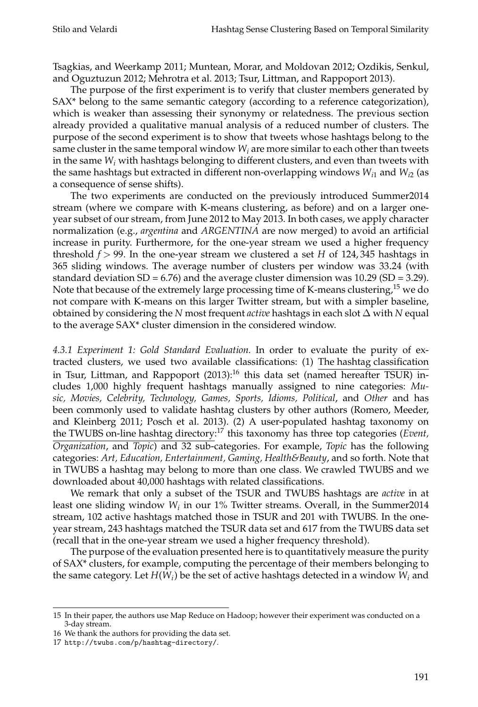Tsagkias, and Weerkamp 2011; Muntean, Morar, and Moldovan 2012; Ozdikis, Senkul, and Oguztuzun 2012; Mehrotra et al. 2013; Tsur, Littman, and Rappoport 2013).

The purpose of the first experiment is to verify that cluster members generated by SAX\* belong to the same semantic category (according to a reference categorization), which is weaker than assessing their synonymy or relatedness. The previous section already provided a qualitative manual analysis of a reduced number of clusters. The purpose of the second experiment is to show that tweets whose hashtags belong to the same cluster in the same temporal window  $W_i$  are more similar to each other than tweets in the same *W<sup>i</sup>* with hashtags belonging to different clusters, and even than tweets with the same hashtags but extracted in different non-overlapping windows *Wi*<sup>1</sup> and *Wi*<sup>2</sup> (as a consequence of sense shifts).

The two experiments are conducted on the previously introduced Summer2014 stream (where we compare with K-means clustering, as before) and on a larger oneyear subset of our stream, from June 2012 to May 2013. In both cases, we apply character normalization (e.g., *argentina* and *ARGENTINA* are now merged) to avoid an artificial increase in purity. Furthermore, for the one-year stream we used a higher frequency threshold *f* > 99. In the one-year stream we clustered a set *H* of 124, 345 hashtags in 365 sliding windows. The average number of clusters per window was 33.24 (with standard deviation  $SD = 6.76$ ) and the average cluster dimension was  $10.29$  ( $SD = 3.29$ ). Note that because of the extremely large processing time of K-means clustering,<sup>15</sup> we do not compare with K-means on this larger Twitter stream, but with a simpler baseline, obtained by considering the *N* most frequent *active* hashtags in each slot ∆ with *N* equal to the average SAX\* cluster dimension in the considered window.

*4.3.1 Experiment 1: Gold Standard Evaluation.* In order to evaluate the purity of extracted clusters, we used two available classifications: (1) The hashtag classification in Tsur, Littman, and Rappoport (2013):<sup>16</sup> this data set (named hereafter TSUR) includes 1,000 highly frequent hashtags manually assigned to nine categories: *Music, Movies, Celebrity, Technology, Games, Sports, Idioms, Political*, and *Other* and has been commonly used to validate hashtag clusters by other authors (Romero, Meeder, and Kleinberg 2011; Posch et al. 2013). (2) A user-populated hashtag taxonomy on the TWUBS on-line hashtag directory: <sup>17</sup> this taxonomy has three top categories (*Event, Organization*, and *Topic*) and 32 sub-categories. For example, *Topic* has the following categories: *Art, Education, Entertainment, Gaming, Health&Beauty*, and so forth. Note that in TWUBS a hashtag may belong to more than one class. We crawled TWUBS and we downloaded about 40,000 hashtags with related classifications.

We remark that only a subset of the TSUR and TWUBS hashtags are *active* in at least one sliding window *W<sup>i</sup>* in our 1% Twitter streams. Overall, in the Summer2014 stream, 102 active hashtags matched those in TSUR and 201 with TWUBS. In the oneyear stream, 243 hashtags matched the TSUR data set and 617 from the TWUBS data set (recall that in the one-year stream we used a higher frequency threshold).

The purpose of the evaluation presented here is to quantitatively measure the purity of SAX\* clusters, for example, computing the percentage of their members belonging to the same category. Let  $H(W_i)$  be the set of active hashtags detected in a window  $W_i$  and

<sup>15</sup> In their paper, the authors use Map Reduce on Hadoop; however their experiment was conducted on a 3-day stream.

<sup>16</sup> We thank the authors for providing the data set.

<sup>17</sup> http://twubs.com/p/hashtag-directory/.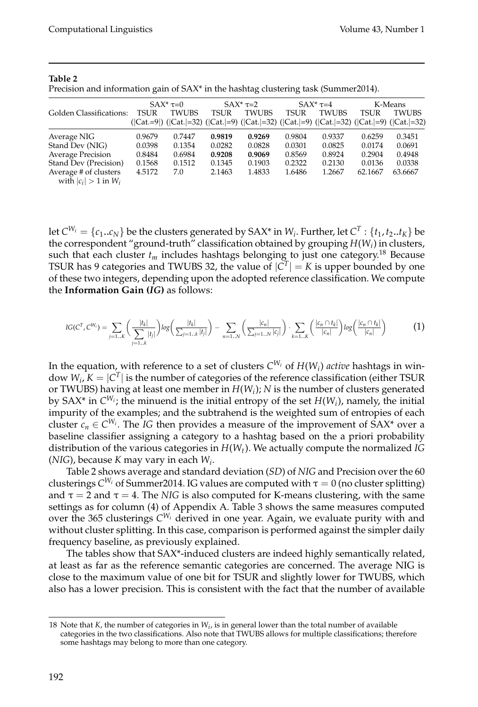|                                                    |             | $SAX^* \tau = 0$ |        | $SAX^*$ $\tau=2$                                                                                           |             | $SAX^*\tau=4$ |             | K-Means      |
|----------------------------------------------------|-------------|------------------|--------|------------------------------------------------------------------------------------------------------------|-------------|---------------|-------------|--------------|
| Golden Classifications:                            | <b>TSUR</b> | <b>TWUBS</b>     | TSUR   | <b>TWUBS</b>                                                                                               | <b>TSUR</b> | <b>TWUBS</b>  | <b>TSUR</b> | <b>TWUBS</b> |
|                                                    |             |                  |        | $( Cat.=9 )$ $( Cat.=32 $ $( Cat.=9 )$ $( Cat.=32 )$ $( Cat.=9 )$ $( Cat.=32 )$ $( Cat.=9 )$ $( Cat.=32 )$ |             |               |             |              |
| Average NIG                                        | 0.9679      | 0.7447           | 0.9819 | 0.9269                                                                                                     | 0.9804      | 0.9337        | 0.6259      | 0.3451       |
| Stand Dev (NIG)                                    | 0.0398      | 0.1354           | 0.0282 | 0.0828                                                                                                     | 0.0301      | 0.0825        | 0.0174      | 0.0691       |
| <b>Average Precision</b>                           | 0.8484      | 0.6984           | 0.9208 | 0.9069                                                                                                     | 0.8569      | 0.8924        | 0.2904      | 0.4948       |
| Stand Dev (Precision)                              | 0.1568      | 0.1512           | 0.1345 | 0.1903                                                                                                     | 0.2322      | 0.2130        | 0.0136      | 0.0338       |
| Average # of clusters<br>with $ c_i  > 1$ in $W_i$ | 4.5172      | 7.0              | 2.1463 | 1.4833                                                                                                     | 1.6486      | 1.2667        | 62.1667     | 63.6667      |

#### **Table 2**

Precision and information gain of SAX\* in the hashtag clustering task (Summer2014).

let  $C^{W_i} = \{c_1..c_N\}$  be the clusters generated by SAX\* in  $W_i$ . Further, let  $C^T:\{t_1,t_2..t_K\}$  be the correspondent "ground-truth" classification obtained by grouping *H*(*W<sup>i</sup>* ) in clusters, such that each cluster  $t_m$  includes hashtags belonging to just one category.<sup>18</sup> Because TSUR has 9 categories and TWUBS 32, the value of  $|C^T| = K$  is upper bounded by one of these two integers, depending upon the adopted reference classification. We compute the **Information Gain (***IG***)** as follows:

$$
IG(C^T, C^{W_i}) = \sum_{j=1..K} \left( \frac{|t_k|}{\sum_{j=1..K} |t_j|} \right) \log \left( \frac{|t_k|}{\sum_{j=1..K} |t_j|} \right) - \sum_{n=1..N} \left( \frac{|c_n|}{\sum_{j=1..N} |c_j|} \right) \cdot \sum_{k=1..K} \left( \frac{|c_n \cap t_k|}{|c_n|} \right) \log \left( \frac{|c_n \cap t_k|}{|c_n|} \right) \tag{1}
$$

In the equation, with reference to a set of clusters  $C^{W_i}$  of  $H(W_i)$  *active* hashtags in window  $W_i$ ,  $K = |C^T|$  is the number of categories of the reference classification (either TSUR or TWUBS) having at least one member in *H*(*W<sup>i</sup>* ); *N* is the number of clusters generated by SAX\* in  $C^{W_i}$ ; the minuend is the initial entropy of the set  $H(W_i)$ , namely, the initial impurity of the examples; and the subtrahend is the weighted sum of entropies of each cluster  $c_n \in C^{W_i}$ . The *IG* then provides a measure of the improvement of SAX\* over a baseline classifier assigning a category to a hashtag based on the a priori probability distribution of the various categories in *H*(*W<sup>t</sup>* ). We actually compute the normalized *IG* (*NIG*), because *K* may vary in each *W<sup>i</sup>* .

Table 2 shows average and standard deviation (*SD*) of *NIG* and Precision over the 60 clusterings  $C^{W_i}$  of Summer2014. IG values are computed with  $\tau=0$  (no cluster splitting) and  $\tau = 2$  and  $\tau = 4$ . The *NIG* is also computed for K-means clustering, with the same settings as for column (4) of Appendix A. Table 3 shows the same measures computed over the 365 clusterings *C <sup>W</sup><sup>i</sup>* derived in one year. Again, we evaluate purity with and without cluster splitting. In this case, comparison is performed against the simpler daily frequency baseline, as previously explained.

The tables show that SAX\*-induced clusters are indeed highly semantically related, at least as far as the reference semantic categories are concerned. The average NIG is close to the maximum value of one bit for TSUR and slightly lower for TWUBS, which also has a lower precision. This is consistent with the fact that the number of available

<sup>18</sup> Note that *K*, the number of categories in *W<sup>i</sup>* , is in general lower than the total number of available categories in the two classifications. Also note that TWUBS allows for multiple classifications; therefore some hashtags may belong to more than one category.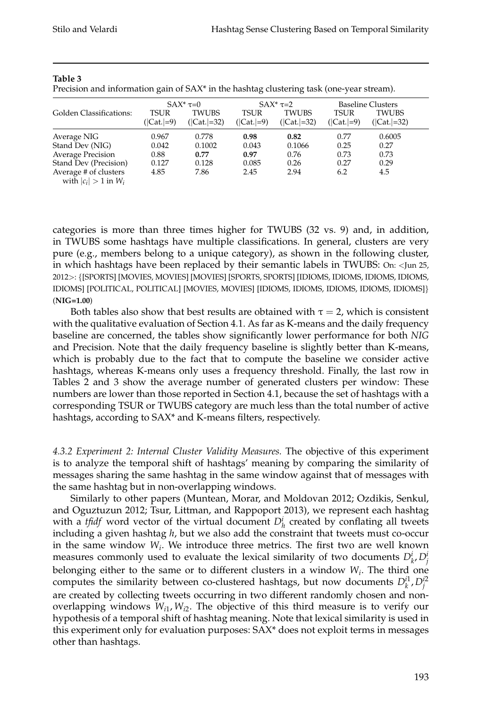|                                                    |                      | $SAX^*\tau=0$                |                            | $SAX^*\tau=2$         |                      | <b>Baseline Clusters</b>     |  |
|----------------------------------------------------|----------------------|------------------------------|----------------------------|-----------------------|----------------------|------------------------------|--|
| Golden Classifications:                            | TSUR<br>$( Cat. =9)$ | <b>TWUBS</b><br>$( Cat =32)$ | <b>TSUR</b><br>$( Cat =9)$ | TWUBS<br>$( Cat =32)$ | TSUR<br>$( Cat. =9)$ | <b>TWUBS</b><br>$( Cat =32)$ |  |
| Average NIG                                        | 0.967                | 0.778                        | 0.98                       | 0.82                  | 0.77                 | 0.6005                       |  |
| Stand Dev (NIG)                                    | 0.042                | 0.1002                       | 0.043                      | 0.1066                | 0.25                 | 0.27                         |  |
| Average Precision                                  | 0.88                 | 0.77                         | 0.97                       | 0.76                  | 0.73                 | 0.73                         |  |
| Stand Dev (Precision)                              | 0.127                | 0.128                        | 0.085                      | 0.26                  | 0.27                 | 0.29                         |  |
| Average # of clusters<br>with $ c_i  > 1$ in $W_i$ | 4.85                 | 7.86                         | 2.45                       | 2.94                  | 6.2                  | 4.5                          |  |

#### **Table 3**

Precision and information gain of SAX\* in the hashtag clustering task (one-year stream).

categories is more than three times higher for TWUBS (32 vs. 9) and, in addition, in TWUBS some hashtags have multiple classifications. In general, clusters are very pure (e.g., members belong to a unique category), as shown in the following cluster, in which hashtags have been replaced by their semantic labels in TWUBS: On: <Jun 25, 2012>: {[SPORTS] [MOVIES, MOVIES] [MOVIES] [SPORTS, SPORTS] [IDIOMS, IDIOMS, IDIOMS, IDIOMS, IDIOMS] [POLITICAL, POLITICAL] [MOVIES, MOVIES] [IDIOMS, IDIOMS, IDIOMS, IDIOMS, IDIOMS]} (**NIG=1.00**)

Both tables also show that best results are obtained with  $\tau = 2$ , which is consistent with the qualitative evaluation of Section 4.1. As far as K-means and the daily frequency baseline are concerned, the tables show significantly lower performance for both *NIG* and Precision. Note that the daily frequency baseline is slightly better than K-means, which is probably due to the fact that to compute the baseline we consider active hashtags, whereas K-means only uses a frequency threshold. Finally, the last row in Tables 2 and 3 show the average number of generated clusters per window: These numbers are lower than those reported in Section 4.1, because the set of hashtags with a corresponding TSUR or TWUBS category are much less than the total number of active hashtags, according to SAX\* and K-means filters, respectively.

*4.3.2 Experiment 2: Internal Cluster Validity Measures.* The objective of this experiment is to analyze the temporal shift of hashtags' meaning by comparing the similarity of messages sharing the same hashtag in the same window against that of messages with the same hashtag but in non-overlapping windows.

Similarly to other papers (Muntean, Morar, and Moldovan 2012; Ozdikis, Senkul, and Oguztuzun 2012; Tsur, Littman, and Rappoport 2013), we represent each hashtag with a *tfidf* word vector of the virtual document  $D_h^i$  created by conflating all tweets including a given hashtag *h*, but we also add the constraint that tweets must co-occur in the same window *W<sup>i</sup>* . We introduce three metrics. The first two are well known measures commonly used to evaluate the lexical similarity of two documents  $D_k^i, D_j^i$ belonging either to the same or to different clusters in a window *W<sup>i</sup>* . The third one computes the similarity between co-clustered hashtags, but now documents  $D_k^{i1}, D_j^{i2}$ are created by collecting tweets occurring in two different randomly chosen and nonoverlapping windows  $W_{i1}, W_{i2}$ . The objective of this third measure is to verify our hypothesis of a temporal shift of hashtag meaning. Note that lexical similarity is used in this experiment only for evaluation purposes: SAX\* does not exploit terms in messages other than hashtags.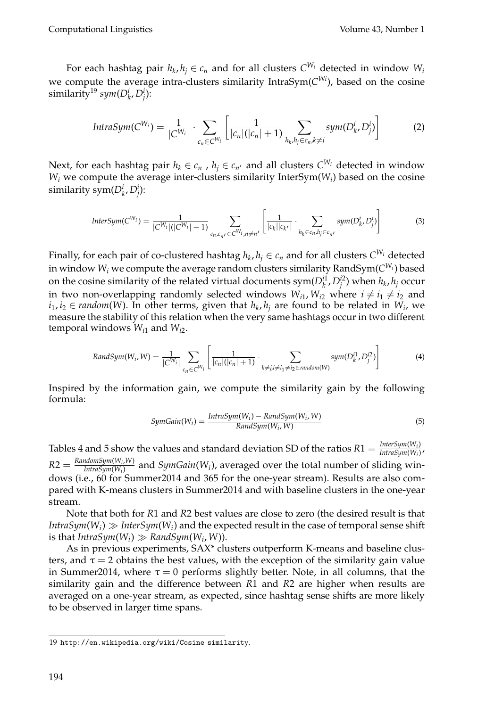For each hashtag pair  $h_k, h_j \in c_n$  and for all clusters  $C^{W_i}$  detected in window  $W_i$ we compute the average intra-clusters similarity IntraSym(*C Wi*), based on the cosine  $\text{similarity}^{19} \text{ sym}(D_{k}^{i}, D_{j}^{i})$ :

$$
IntraSym(C^{W_i}) = \frac{1}{|C^{W_i}|} \cdot \sum_{c_n \in C^{W_i}} \left[ \frac{1}{|c_n|(|c_n|+1)} \sum_{h_k, h_j \in c_n, k \neq j} sym(D_{k}^i, D_j^i) \right]
$$
(2)

Next, for each hashtag pair  $h_k \in c_n$  ,  $h_j \in c_{n'}$  and all clusters  $C^{W_i}$  detected in window  $W_i$  we compute the average inter-clusters similarity InterSym( $W_i$ ) based on the cosine similarity sym $(D_k^i, D_j^i)$ :

$$
InterSym(C^{W_i}) = \frac{1}{|C^{W_i}|(|C^{W_i}|-1)} \sum_{c_n, c_n, c \in W_i, n \neq n'} \left[ \frac{1}{|c_k||c_{k'}|} \cdot \sum_{h_k \in c_n, h_j \in c_n, c_j} sym(D^i_k, D^i_j) \right]
$$
(3)

Finally, for each pair of co-clustered hashtag  $h_k,h_j\in \mathcal{c}_n$  and for all clusters  $C^{W_i}$  detected in window  $W_i$  we compute the average random clusters similarity  $\mathsf{RandSym}(\mathcal{C}^{W_i})$  based on the cosine similarity of the related virtual documents  $\text{sym}(D_{k}^{i1}, D_{j}^{i2})$  when  $h_{k}$ ,  $h_{j}$  occur in two non-overlapping randomly selected windows  $W_{i1}$ ,  $W_{i2}$  where  $i \neq i_1 \neq i_2$  and *i*<sub>1</sub>, *i*<sub>2</sub> ∈ *random*(*W*). In other terms, given that *h<sub>k</sub>*, *h*<sub>*j*</sub> are found to be related in *W*<sub>*i*</sub>, we measure the stability of this relation when the very same hashtags occur in two different temporal windows *Wi*<sup>1</sup> and *Wi*<sup>2</sup> .

$$
RandSym(W_i, W) = \frac{1}{|C^{W_i}|} \sum_{c_n \in C^{W_i}} \left[ \frac{1}{|c_n|(|c_n|+1)} \cdot \sum_{k \neq j, i \neq i_1 \neq i_2 \in random(W)} sym(D_k^{i1}, D_j^{i2}) \right]
$$
(4)

Inspired by the information gain, we compute the similarity gain by the following formula:

$$
SymGain(W_i) = \frac{IntraSym(W_i) - RandSym(W_i, W)}{RandSym(W_i, W)}
$$
\n(5)

Tables 4 and 5 show the values and standard deviation SD of the ratios  $R1 = \frac{InterSym(W_i)}{IntraSim(W_i)}$ *IntraSym*(*W<sup>i</sup>* ) ,  $R2 = \frac{RandomSym(W_i, W)}{IntraSum(W_i)}$ *IntraSym*(*W*<sub>*i*</sub>,*W*)</sub> and *SymGain*(*W*<sub>*i*</sub>), averaged over the total number of sliding windows (i.e., 60 for Summer2014 and 365 for the one-year stream). Results are also compared with K-means clusters in Summer2014 and with baseline clusters in the one-year stream.

Note that both for *R*1 and *R*2 best values are close to zero (the desired result is that  $IntraSym(W_i) \gg InterSym(W_i)$  and the expected result in the case of temporal sense shift is that  $IntraSym(W_i) \gg RandSym(W_i, W)$ ).

As in previous experiments, SAX\* clusters outperform K-means and baseline clusters, and  $\tau = 2$  obtains the best values, with the exception of the similarity gain value in Summer2014, where  $\tau = 0$  performs slightly better. Note, in all columns, that the similarity gain and the difference between *R*1 and *R*2 are higher when results are averaged on a one-year stream, as expected, since hashtag sense shifts are more likely to be observed in larger time spans.

<sup>19</sup> http://en.wikipedia.org/wiki/Cosine similarity.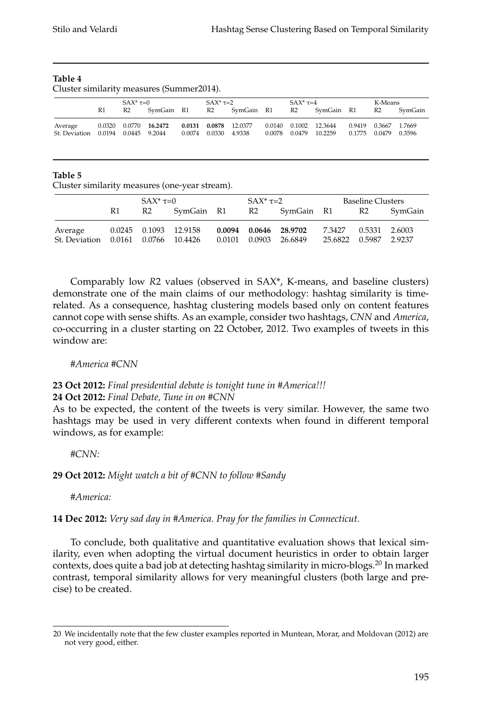### **Table 4**

Cluster similarity measures (Summer2014).

|                          |        | $SAX^*\tau=0$        |                | $SAX^*$ $\tau=2$     |                       |        | $SAX^*$ $\tau=4$ |                                  | K-Means                               |         |
|--------------------------|--------|----------------------|----------------|----------------------|-----------------------|--------|------------------|----------------------------------|---------------------------------------|---------|
|                          | R1     | R2                   | SymGain R1     |                      | R2 SymGain R1         |        | R2               | SymGain R1                       | R2                                    | SvmGain |
| Average<br>St. Deviation | 0.0320 | 0.0194 0.0445 9.2044 | 0.0770 16.2472 | 0.0074 0.0330 4.9338 | 0.0131 0.0878 12.0377 | 0.0078 | 0.0479           | 0.0140 0.1002 12.3644<br>10.2259 | 0.9419 0.3667 1.7669<br>0.1775 0.0479 | 0.3596  |

### **Table 5**

Cluster similarity measures (one-year stream).

|                                     |    | $SAX^* \tau = 0$ |                       | $SAX^*$ $\tau=2$ |                       |                       | <b>Baseline Clusters</b> |         |
|-------------------------------------|----|------------------|-----------------------|------------------|-----------------------|-----------------------|--------------------------|---------|
|                                     | R1 | R <sub>2</sub>   | SymGain R1            |                  | R2 SymGain R1 R2      |                       |                          | SymGain |
| Average                             |    |                  | 0.0245 0.1093 12.9158 |                  | 0.0094 0.0646 28.9702 | 7.3427                | 0.5331 2.6003            |         |
| St. Deviation 0.0161 0.0766 10.4426 |    |                  |                       |                  | 0.0101 0.0903 26.6849 | 25.6822 0.5987 2.9237 |                          |         |

Comparably low *R*2 values (observed in SAX\*, K-means, and baseline clusters) demonstrate one of the main claims of our methodology: hashtag similarity is timerelated. As a consequence, hashtag clustering models based only on content features cannot cope with sense shifts. As an example, consider two hashtags, *CNN* and *America*, co-occurring in a cluster starting on 22 October, 2012. Two examples of tweets in this window are:

# *#America #CNN*

### **23 Oct 2012:** *Final presidential debate is tonight tune in #America!!!* **24 Oct 2012:** *Final Debate, Tune in on #CNN*

As to be expected, the content of the tweets is very similar. However, the same two hashtags may be used in very different contexts when found in different temporal windows, as for example:

# *#CNN:*

# **29 Oct 2012:** *Might watch a bit of #CNN to follow #Sandy*

*#America:*

# **14 Dec 2012:** *Very sad day in #America. Pray for the families in Connecticut.*

To conclude, both qualitative and quantitative evaluation shows that lexical similarity, even when adopting the virtual document heuristics in order to obtain larger contexts, does quite a bad job at detecting hashtag similarity in micro-blogs.<sup>20</sup> In marked contrast, temporal similarity allows for very meaningful clusters (both large and precise) to be created.

<sup>20</sup> We incidentally note that the few cluster examples reported in Muntean, Morar, and Moldovan (2012) are not very good, either.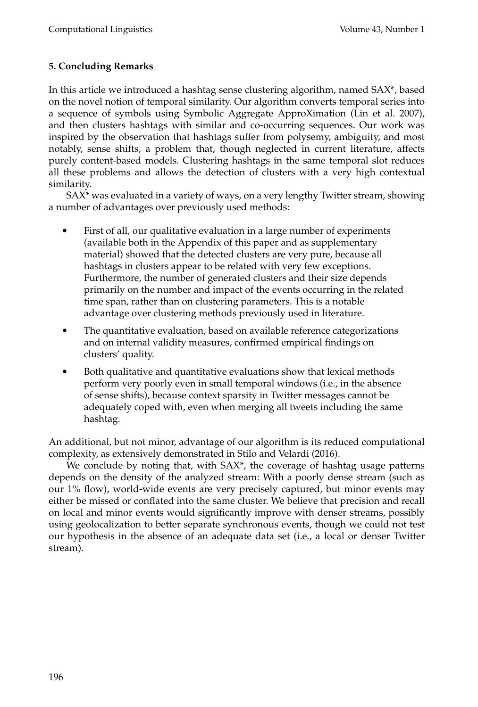# **5. Concluding Remarks**

In this article we introduced a hashtag sense clustering algorithm, named SAX\*, based on the novel notion of temporal similarity. Our algorithm converts temporal series into a sequence of symbols using Symbolic Aggregate ApproXimation (Lin et al. 2007), and then clusters hashtags with similar and co-occurring sequences. Our work was inspired by the observation that hashtags suffer from polysemy, ambiguity, and most notably, sense shifts, a problem that, though neglected in current literature, affects purely content-based models. Clustering hashtags in the same temporal slot reduces all these problems and allows the detection of clusters with a very high contextual similarity.

SAX\* was evaluated in a variety of ways, on a very lengthy Twitter stream, showing a number of advantages over previously used methods:

- First of all, our qualitative evaluation in a large number of experiments (available both in the Appendix of this paper and as supplementary material) showed that the detected clusters are very pure, because all hashtags in clusters appear to be related with very few exceptions. Furthermore, the number of generated clusters and their size depends primarily on the number and impact of the events occurring in the related time span, rather than on clustering parameters. This is a notable advantage over clustering methods previously used in literature.
- The quantitative evaluation, based on available reference categorizations and on internal validity measures, confirmed empirical findings on clusters' quality.
- Both qualitative and quantitative evaluations show that lexical methods perform very poorly even in small temporal windows (i.e., in the absence of sense shifts), because context sparsity in Twitter messages cannot be adequately coped with, even when merging all tweets including the same hashtag.

An additional, but not minor, advantage of our algorithm is its reduced computational complexity, as extensively demonstrated in Stilo and Velardi (2016).

We conclude by noting that, with SAX\*, the coverage of hashtag usage patterns depends on the density of the analyzed stream: With a poorly dense stream (such as our 1% flow), world-wide events are very precisely captured, but minor events may either be missed or conflated into the same cluster. We believe that precision and recall on local and minor events would significantly improve with denser streams, possibly using geolocalization to better separate synchronous events, though we could not test our hypothesis in the absence of an adequate data set (i.e., a local or denser Twitter stream).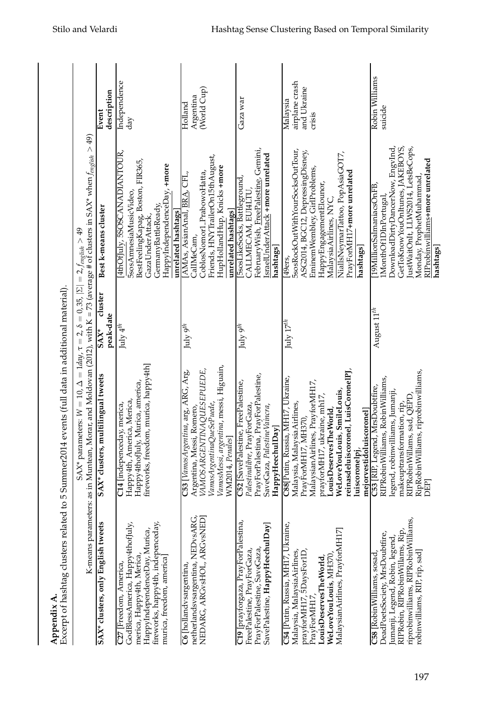| Excerpt of hashtag clusters related to 5<br>Appendix A.                                                                                                                                                    | Summer2014 events (full data in additional material).                                                                                                                                                                                                                                                   |                                |                                                                                                                                                                                                                                                       |                                                     |
|------------------------------------------------------------------------------------------------------------------------------------------------------------------------------------------------------------|---------------------------------------------------------------------------------------------------------------------------------------------------------------------------------------------------------------------------------------------------------------------------------------------------------|--------------------------------|-------------------------------------------------------------------------------------------------------------------------------------------------------------------------------------------------------------------------------------------------------|-----------------------------------------------------|
|                                                                                                                                                                                                            | K-means parameters: as in Muntean, Morar, and Moldovan (2012), with K = 73 (average # of clusters in SAX* when $f_{engish} > 49$ )<br>SAX* parameters: $N = 10$ , $\Delta = 1$ day, $\tau = 2$ , $\delta = 0$ , 35, $ \Sigma  = 2$ , $f_{\text{erg,list}} > 49$                                         |                                |                                                                                                                                                                                                                                                       |                                                     |
| SAX* clusters, only English tweets                                                                                                                                                                         | SAX* clusters, multilingual tweets                                                                                                                                                                                                                                                                      | duster<br>peak-date<br>$SAX^*$ | Best k-means cluster                                                                                                                                                                                                                                  | description<br>Event                                |
| GodBlessAmerica, Happy4thofJuly,<br>fireworks, happy4th, indepenceday,<br>HappyIndependenceDay, Murica,<br>merica, Happy4th, Merica,<br>murica, freedom, america]<br>C <sub>27</sub> [Freedom, America,    | fireworks, freedom, murica, happy4th]<br>Happy4thofJuly, Murica, america,<br>Happy4th, America, Merica,<br>C14 [indepenceday, merica,                                                                                                                                                                   | July $4^{th}$                  | 4thOfJuly, 5SOSCANADIANTOUR,<br>BestFeelingKapag, Boston, FIR365,<br>HappyIndependenceDay, +more<br>5sosAmnesiaMusicVideo,<br>GermanyBattleReady<br>unrelated hashtags<br>GazaUnderAttack,                                                            | Independence<br>day                                 |
| netherlandsvsargentina, NEDvsARG,<br>NEDARG, ARGvsHOL, ARGvsNED]<br>C6 [hollandvsargentina,                                                                                                                | VamosMessi, argentina, messi, Higuain,<br>VAMOSARGENTINAQUESEPUEDE,<br>C53 [VamosArgentina, arg, ARG, Arg,<br>VamosArgentinaQueSePuede,<br>Argentina, Messi, Romero,<br>WM2014, Penales]                                                                                                                | July $9^{th}$                  | Friends, HNYTrailerOn15thAugust,<br>HupHollandHup, Knicks +more<br>CoblosNomor1_PrabowoHatta,<br>AMAs, AsianAnal, BRA, CFL,<br>unrelated hashtags]<br>CalIMeCam,                                                                                      | (World Cup)<br>Argentina<br>$H$ olland              |
| C19 [prayforgaza, PrayForPalestina,<br>SavePalestine, HappyHeechulDay]<br>PrayForPalestine, SaveGaza,<br>FreePalestine, PrayForGaza,                                                                       | PrayForPalestina, PrayForPalestine,<br>C52 [SavePalestine, FreePalestine,<br>SaveGaza, PalestineVaincra,<br>Palestinalibre, PrayForGaza,<br>HappyHeechulDay]                                                                                                                                            | July 9 <sup>th</sup>           | February Wish, FreePalestine, Gemini,<br>IsraelUnderAttack +more unrelated<br>5sosLikeSocks, Battleground,<br>CALLMECAM, EUI4LTU<br>hashtags]                                                                                                         | Gaza war                                            |
| C54 [Putin, Russia, MH17, Ukraine,<br>Malaysian Airlines, PrayforMH17]<br>prayforMH17, 5DaysFor1D,<br>PrayForMH17,<br>Malaysia, MalaysiaAirlines,<br>WeLoveYouLouis, MH370,<br>LouisDeservesTheWorld,      | reinasdeluiscoronel, LuisCoronelPJ,<br>C88[Putin, Russia, MH17, Ukraine,<br>MalaysianAirlines, PrayforMH17,<br>WeLoveYouLouis, SmileLouis,<br>prayforMH17, ukraine, mh17,<br>Malaysia, Malaysia Airlines,<br>LouisDeservesTheWorld,<br>mejorvestidoluiscoronel]<br>PrayForMH17, MH370,<br>luiscoronelpj | July $17^{th}$                 | 5sosRockOutWithYourSocksOutTour,<br>ASG2014, BGC12, DepressingDisney,<br>NiallsNeymarTattoo, PopAsiaGOT7,<br>Eminem Wembley, GirlProblems,<br>PrayForMH17+more unrelated<br>HappyEngagementElounor,<br>Malaysia Airlines, NYC,<br>hashtags]<br>49ers, | airplane crash<br>and Ukraine<br>Malaysia<br>crisis |
| riprobinwilliams, RIPRobinWilliams,<br>RIPRobin, RIPRobinWillams, Rip,<br>DeadPoetsSociety, MrsDoubtfire,<br>umanji, Legend, Robin, legend,<br>robinwilliams, RIP, rip, sad]<br>C58 [RobinWilliams, sosad, | RipRobinWilliams, riprobinwilliams,<br>RIPRobinWilliams, RobinWilliams,<br>C53 [RIF, Legend, MrsDoubtfire,<br>legend, robinwilliams, Jumanji,<br>RIPRobinWillams, sad, QEPD<br>makeuptransformation, rip,<br>DEP                                                                                        | August $11^{th}$               | JownloadDirtyDancerNow, EngyInd,<br>GetToKnowYouOnItunes, JAKEBOYS,<br>ustWaitOnIt, LLWS2014, LetsBeCops,<br>RIProbinwilliams+more unrelated<br>Monday, ProphetMuhammad,<br>19MillionSalmaniacsOnFB,<br>MonthOf1DInPortugal,<br>hashtags              | Robin Williams<br>suicide                           |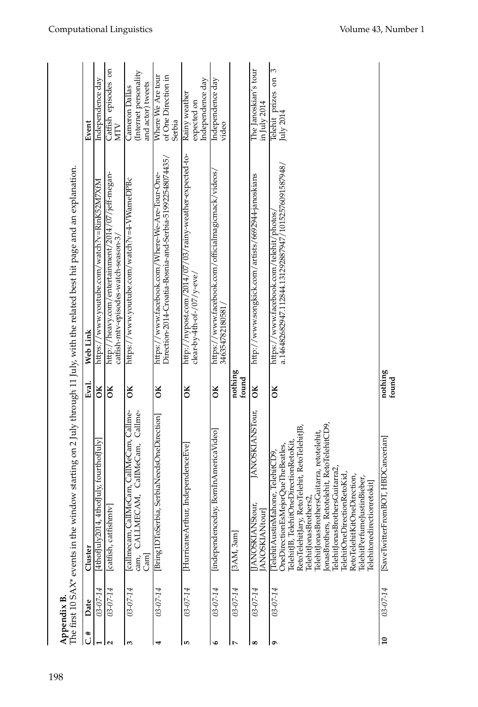|                 | Appendix B.    |                                                                                                                                                                                                                                                                                                                                                                                                                                                          |                  | The first 10 SAX* events in the window starting on 2 July through 11 July, with the related best hit page and an explanation. |                                                             |
|-----------------|----------------|----------------------------------------------------------------------------------------------------------------------------------------------------------------------------------------------------------------------------------------------------------------------------------------------------------------------------------------------------------------------------------------------------------------------------------------------------------|------------------|-------------------------------------------------------------------------------------------------------------------------------|-------------------------------------------------------------|
| #ت              | Date           | Cluster                                                                                                                                                                                                                                                                                                                                                                                                                                                  | Eval.            | Web Link                                                                                                                      | Event                                                       |
|                 | $03 - 07 - 14$ | [4thofJuly2014, 4thofJuly, fourthofJuly]                                                                                                                                                                                                                                                                                                                                                                                                                 | ОK               | https://www.youtube.com/watch?v=RinK52M7XfM                                                                                   | Independence day                                            |
|                 | 03-07-14       | [catfish, catfishmtv]                                                                                                                                                                                                                                                                                                                                                                                                                                    | ŏК               | http://heavy.com/entertainment/2014/07/jeff-megan-<br>catfish-mtv-episodes-watch-season-3/                                    | Catfish episodes on<br><b>MTV</b>                           |
| 3               | $03 - 07 - 14$ | cam, CALLMECAM, CaIIMeCam, Callme-<br>[callmecam, CalIMeCam, CalIMeCam, Callme-<br>Cam                                                                                                                                                                                                                                                                                                                                                                   | õК               | https://www.youtube.com/watch?v=4-VWameDPBc                                                                                   | Internet personality<br>and actor) tweets<br>Cameron Dallas |
|                 | $03 - 07 - 14$ | [Bring1DToSerbia, SerbiaNeedsOneDirection]                                                                                                                                                                                                                                                                                                                                                                                                               | ŏК               | Direction-2014-Croatia-Bosnia-and-Serbia-519922548074435/<br>https://www.facebook.com/Where-We-Are-Tour-One-                  | Where We Are tour<br>of One Direction in<br>Serbia          |
| LO <sub>1</sub> | $03 - 07 - 14$ | [HurricaneArthur, IndependenceEve]                                                                                                                                                                                                                                                                                                                                                                                                                       | ŏК               | http://nypost.com/2014/07/03/rainy-weather-expected-to-<br>clear-by-4th-of-/07/y-eve/                                         | Independence day<br>Rainy weather<br>expected on            |
| ی               | 03-07-14       | [independenceday, BornInAmericaVideo]                                                                                                                                                                                                                                                                                                                                                                                                                    | ŏК               | https://www.facebook.com/officialmagicmack/videos/<br>346354782180581                                                         | Independence day<br>video                                   |
|                 | 03-07-14       | [3AM, 3am]                                                                                                                                                                                                                                                                                                                                                                                                                                               | nothing<br>found |                                                                                                                               |                                                             |
| $\infty$        | $03 - 07 - 14$ | JANOSKIANSTour,<br><b>TANOSKIANStour</b><br>[ANOSKIANtour]                                                                                                                                                                                                                                                                                                                                                                                               | ОK               | http://www.songkick.com/artists/6692944-janoskians                                                                            | The Janoskian's tour<br>in July 2014                        |
| G               | $03 - 07 - 14$ | JonasBrothers, Retotelehit, RetoTelehitCD9,<br>RetoTelehitJary, RetoTelehit, RetoTelehitJB,<br>TelehitJonasBrothersGuitarra, retotelehit,<br>TelehitJB, TelehitOneDirectionRetoKit,<br>OneDirectionEsMejorQueTheBeatles,<br>TelehitAustinMahone, TelehitCD9<br>TelehitJonasBrothersGuitarra2,<br>TelehitOneDirectionRetoKid,<br>RetoTelehitKitOneDirection,<br>TelehitPerfumeJustinBieber,<br><b>Telehitonedirectionretokit</b><br>TelehitJonasBrothers2 | ŏК               | a.146482682947.112844.131292887947/10152576091587948/<br>https://www.facebook.com/telehit/photos/                             | Telehit prizes on 3<br>July 2014                            |
| $\overline{10}$ | 03-07-14       | T, HBDCancerian]<br>[SaveTwitterFromBO                                                                                                                                                                                                                                                                                                                                                                                                                   | nothing<br>found |                                                                                                                               |                                                             |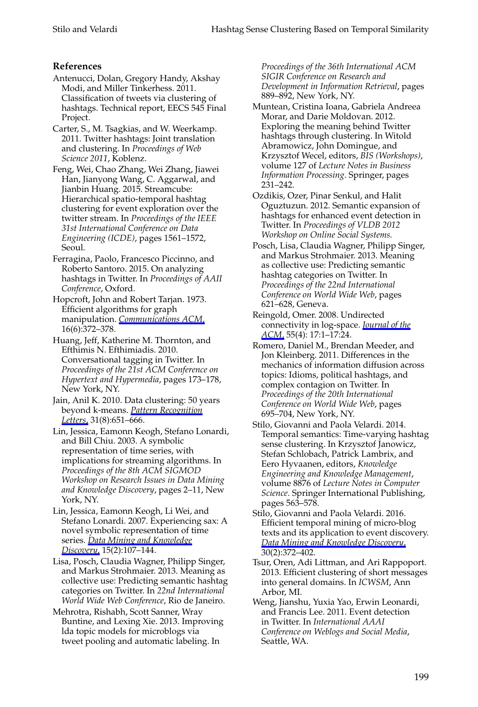# **References**

- Antenucci, Dolan, Gregory Handy, Akshay Modi, and Miller Tinkerhess. 2011. Classification of tweets via clustering of hashtags. Technical report, EECS 545 Final Project.
- Carter, S., M. Tsagkias, and W. Weerkamp. 2011. Twitter hashtags: Joint translation and clustering. In *Proceedings of Web Science 2011*, Koblenz.
- Feng, Wei, Chao Zhang, Wei Zhang, Jiawei Han, Jianyong Wang, C. Aggarwal, and Jianbin Huang. 2015. Streamcube: Hierarchical spatio-temporal hashtag clustering for event exploration over the twitter stream. In *Proceedings of the IEEE 31st International Conference on Data Engineering (ICDE)*, pages 1561–1572, Seoul.
- Ferragina, Paolo, Francesco Piccinno, and Roberto Santoro. 2015. On analyzing hashtags in Twitter. In *Proceedings of AAII Conference*, Oxford.
- Hopcroft, John and Robert Tarjan. 1973. Efficient algorithms for graph manipulation. *[Communications ACM](http://www.mitpressjournals.org/action/showLinks?crossref=10.1145%2F362248.362272)*, 16(6):372–378.
- Huang, Jeff, Katherine M. Thornton, and Efthimis N. Efthimiadis. 2010. Conversational tagging in Twitter. In *Proceedings of the 21st ACM Conference on Hypertext and Hypermedia*, pages 173–178, New York, NY.
- Jain, Anil K. 2010. Data clustering: 50 years beyond k-means. *[Pattern Recognition](http://www.mitpressjournals.org/action/showLinks?crossref=10.1016%2Fj.patrec.2009.09.011) [Letters](http://www.mitpressjournals.org/action/showLinks?crossref=10.1016%2Fj.patrec.2009.09.011)*, 31(8):651–666.
- Lin, Jessica, Eamonn Keogh, Stefano Lonardi, and Bill Chiu. 2003. A symbolic representation of time series, with implications for streaming algorithms. In *Proceedings of the 8th ACM SIGMOD Workshop on Research Issues in Data Mining and Knowledge Discovery*, pages 2–11, New York, NY.
- Lin, Jessica, Eamonn Keogh, Li Wei, and Stefano Lonardi. 2007. Experiencing sax: A novel symbolic representation of time series. *[Data Mining and Knowledge](http://www.mitpressjournals.org/action/showLinks?crossref=10.1007%2Fs10618-007-0064-z) [Discovery](http://www.mitpressjournals.org/action/showLinks?crossref=10.1007%2Fs10618-007-0064-z)*, 15(2):107–144.
- Lisa, Posch, Claudia Wagner, Philipp Singer, and Markus Strohmaier. 2013. Meaning as collective use: Predicting semantic hashtag categories on Twitter. In *22nd International World Wide Web Conference*, Rio de Janeiro.
- Mehrotra, Rishabh, Scott Sanner, Wray Buntine, and Lexing Xie. 2013. Improving lda topic models for microblogs via tweet pooling and automatic labeling. In

*Proceedings of the 36th International ACM SIGIR Conference on Research and Development in Information Retrieval*, pages 889–892, New York, NY.

- Muntean, Cristina Ioana, Gabriela Andreea Morar, and Darie Moldovan. 2012. Exploring the meaning behind Twitter hashtags through clustering. In Witold Abramowicz, John Domingue, and Krzysztof Wecel, editors, *BIS (Workshops)*, volume 127 of *Lecture Notes in Business Information Processing*. Springer, pages 231–242.
- Ozdikis, Ozer, Pinar Senkul, and Halit Oguztuzun. 2012. Semantic expansion of hashtags for enhanced event detection in Twitter. In *Proceedings of VLDB 2012 Workshop on Online Social Systems.*
- Posch, Lisa, Claudia Wagner, Philipp Singer, and Markus Strohmaier. 2013. Meaning as collective use: Predicting semantic hashtag categories on Twitter. In *Proceedings of the 22nd International Conference on World Wide Web*, pages 621–628, Geneva.
- Reingold, Omer. 2008. Undirected connectivity in log-space. *[Journal of the](http://www.mitpressjournals.org/action/showLinks?crossref=10.1145%2F1391289.1391291) [ACM](http://www.mitpressjournals.org/action/showLinks?crossref=10.1145%2F1391289.1391291)*, 55(4): 17:1–17:24.
- Romero, Daniel M., Brendan Meeder, and Jon Kleinberg. 2011. Differences in the mechanics of information diffusion across topics: Idioms, political hashtags, and complex contagion on Twitter. In *Proceedings of the 20th International Conference on World Wide Web*, pages 695–704, New York, NY.
- Stilo, Giovanni and Paola Velardi. 2014. Temporal semantics: Time-varying hashtag sense clustering. In Krzysztof Janowicz, Stefan Schlobach, Patrick Lambrix, and Eero Hyvaanen, editors, *Knowledge Engineering and Knowledge Management*, volume 8876 of *Lecture Notes in Computer Science*. Springer International Publishing, pages 563–578.
- Stilo, Giovanni and Paola Velardi. 2016. Efficient temporal mining of micro-blog texts and its application to event discovery. *[Data Mining and Knowledge Discovery](http://www.mitpressjournals.org/action/showLinks?crossref=10.1007%2Fs10618-015-0412-3)*, 30(2):372–402.
- Tsur, Oren, Adi Littman, and Ari Rappoport. 2013. Efficient clustering of short messages into general domains. In *ICWSM*, Ann Arbor, MI.
- Weng, Jianshu, Yuxia Yao, Erwin Leonardi, and Francis Lee. 2011. Event detection in Twitter. In *International AAAI Conference on Weblogs and Social Media*, Seattle, WA.